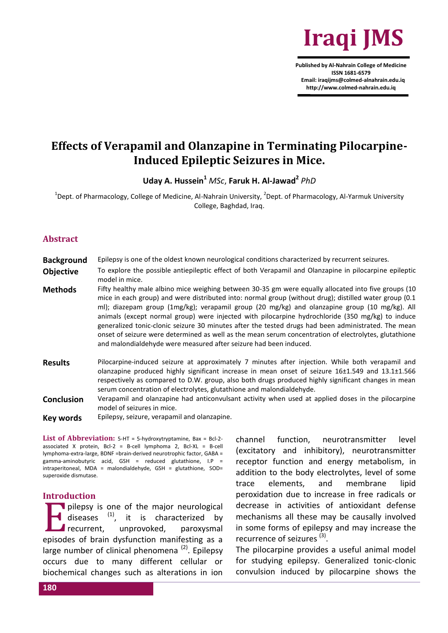

**Published by Al-Nahrain College of Medicine ISSN 1681-6579 Email: iraqijms@colmed-alnahrain.edu.iq http://www.colmed-nahrain.edu.iq**

# **Effects of Verapamil and Olanzapine in Terminating Pilocarpine-Induced Epileptic Seizures in Mice.**

**Uday A. Hussein<sup>1</sup>** *MSc*, **Faruk H. Al-Jawad<sup>2</sup>** *PhD*

 $^{1}$ Dept. of Pharmacology, College of Medicine, Al-Nahrain University,  $^{2}$ Dept. of Pharmacology, Al-Yarmuk University College, Baghdad, Iraq.

#### **Abstract**

**Background** Epilepsy is one of the oldest known neurological conditions characterized by recurrent seizures.

- **Objective** To explore the possible antiepileptic effect of both Verapamil and Olanzapine in pilocarpine epileptic model in mice.
- **Methods** Fifty healthy male albino mice weighing between 30-35 gm were equally allocated into five groups (10 mice in each group) and were distributed into: normal group (without drug); distilled water group (0.1 ml); diazepam group (1mg/kg); verapamil group (20 mg/kg) and olanzapine group (10 mg/kg). All animals (except normal group) were injected with pilocarpine hydrochloride (350 mg/kg) to induce generalized tonic-clonic seizure 30 minutes after the tested drugs had been administrated. The mean onset of seizure were determined as well as the mean serum concentration of electrolytes, glutathione and malondialdehyde were measured after seizure had been induced.
- **Results** Pilocarpine-induced seizure at approximately 7 minutes after injection. While both verapamil and olanzapine produced highly significant increase in mean onset of seizure 16±1.549 and 13.1±1.566 respectively as compared to D.W. group, also both drugs produced highly significant changes in mean serum concentration of electrolytes, glutathione and malondialdehyde.
- **Conclusion** Verapamil and olanzapine had anticonvulsant activity when used at applied doses in the pilocarpine model of seizures in mice.
- **Key words** Epilepsy, seizure, verapamil and olanzapine.

**List of Abbreviation:** 5-HT = 5-hydroxytryptamine, Bax = Bcl-2 associated X protein, Bcl-2 = B-cell lymphoma 2, Bcl-XL = B-cell lymphoma-extra-large, BDNF =brain-derived neurotrophic factor, GABA = gamma-aminobutyric acid, GSH = reduced glutathione,  $I.P =$ intraperitoneal, MDA = malondialdehyde, GSH = glutathione, SOD= superoxide dismutase.

#### **Introduction**

pilepsy is one of the major neurological diseases <sup>(1)</sup>, it is characterized by recurrent, unprovoked, paroxysmal pilepsy is one of the major neurological<br>diseases <sup>(1)</sup>, it is characterized by<br>recurrent, unprovoked, paroxysmal<br>episodes of brain dysfunction manifesting as a large number of clinical phenomena<sup>(2)</sup>. Epilepsy occurs due to many different cellular or biochemical changes such as alterations in ion channel function, neurotransmitter level (excitatory and inhibitory), neurotransmitter receptor function and energy metabolism, in addition to the body electrolytes, level of some trace elements, and membrane lipid peroxidation due to increase in free radicals or decrease in activities of antioxidant defense mechanisms all these may be causally involved in some forms of epilepsy and may increase the recurrence of seizures<sup>(3)</sup>.

The pilocarpine provides a useful animal model for studying epilepsy. Generalized tonic-clonic convulsion induced by pilocarpine shows the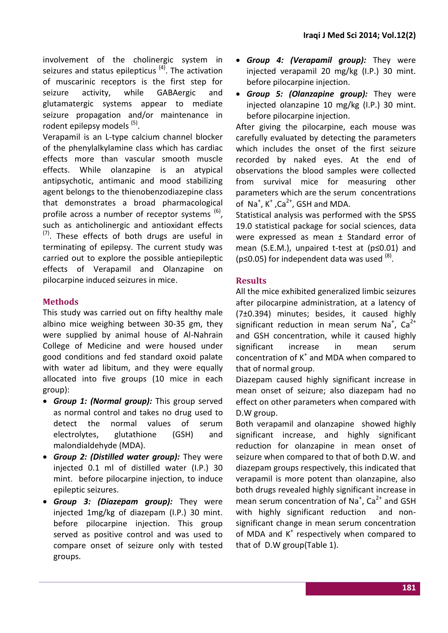involvement of the cholinergic system in seizures and status epilepticus<sup>(4)</sup>. The activation of muscarinic receptors is the first step for seizure activity, while GABAergic and glutamatergic systems appear to mediate seizure propagation and/or maintenance in rodent epilepsy models<sup>(5)</sup>.

Verapamil is an L-type calcium channel blocker of the phenylalkylamine class which has cardiac effects more than vascular smooth muscle effects. While olanzapine is an atypical antipsychotic, antimanic and mood stabilizing agent belongs to the thienobenzodiazepine class that demonstrates a broad pharmacological profile across a number of receptor systems <sup>(6)</sup>, such as anticholinergic and antioxidant effects  $(7)$ . These effects of both drugs are useful in terminating of epilepsy. The current study was carried out to explore the possible antiepileptic effects of Verapamil and Olanzapine on pilocarpine induced seizures in mice.

# **Methods**

This study was carried out on fifty healthy male albino mice weighing between 30-35 gm, they were supplied by animal house of Al-Nahrain College of Medicine and were housed under good conditions and fed standard oxoid palate with water ad libitum, and they were equally allocated into five groups (10 mice in each group):

- *Group 1: (Normal group):* This group served as normal control and takes no drug used to detect the normal values of serum electrolytes, glutathione (GSH) and malondialdehyde (MDA).
- *Group 2: (Distilled water group):* They were injected 0.1 ml of distilled water (I.P.) 30 mint. before pilocarpine injection, to induce epileptic seizures.
- *Group 3: (Diazepam group):* They were injected 1mg/kg of diazepam (I.P.) 30 mint. before pilocarpine injection. This group served as positive control and was used to compare onset of seizure only with tested groups.
- *Group 4: (Verapamil group):* They were injected verapamil 20 mg/kg (I.P.) 30 mint. before pilocarpine injection.
- *Group 5: (Olanzapine group):* They were injected olanzapine 10 mg/kg (I.P.) 30 mint. before pilocarpine injection.

After giving the pilocarpine, each mouse was carefully evaluated by detecting the parameters which includes the onset of the first seizure recorded by naked eyes. At the end of observations the blood samples were collected from survival mice for measuring other parameters which are the serum concentrations of Na<sup>+</sup>, K<sup>+</sup>, Ca<sup>2+</sup>, GSH and MDA.

Statistical analysis was performed with the SPSS 19.0 statistical package for social sciences, data were expressed as mean ± Standard error of mean (S.E.M.), unpaired t-test at (p≤0.01) and ( $p \le 0.05$ ) for independent data was used  $^{(8)}$ .

# **Results**

All the mice exhibited generalized limbic seizures after pilocarpine administration, at a latency of (7±0.394) minutes; besides, it caused highly significant reduction in mean serum Na<sup>+</sup>, Ca<sup>2+</sup> and GSH concentration, while it caused highly significant increase in mean serum concentration of  $K^+$  and MDA when compared to that of normal group.

Diazepam caused highly significant increase in mean onset of seizure; also diazepam had no effect on other parameters when compared with D.W group.

Both verapamil and olanzapine showed highly significant increase, and highly significant reduction for olanzapine in mean onset of seizure when compared to that of both D.W. and diazepam groups respectively, this indicated that verapamil is more potent than olanzapine, also both drugs revealed highly significant increase in mean serum concentration of Na<sup>+</sup>, Ca<sup>2+</sup> and GSH with highly significant reduction and nonsignificant change in mean serum concentration of MDA and K<sup>+</sup> respectively when compared to that of D.W group(Table 1).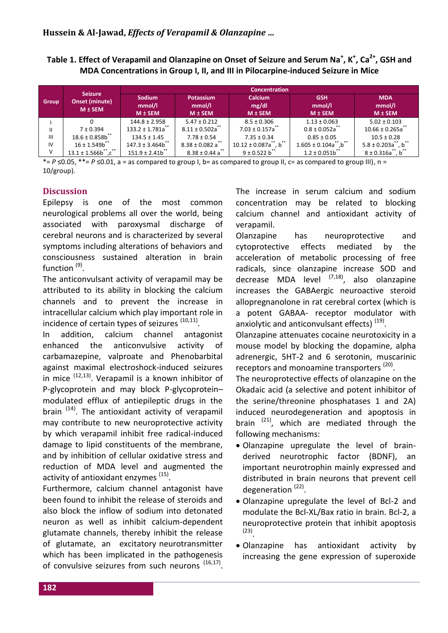**Table 1. Effect of Verapamil and Olanzapine on Onset of Seizure and Serum Na<sup>+</sup> , K<sup>+</sup> , Ca2+, GSH and MDA Concentrations in Group I, II, and III in Pilocarpine-induced Seizure in Mice**

|                | <b>Seizure</b><br><b>Onset (minute)</b><br>$M \pm$ SEM | <b>Concentration</b>                   |                                           |                                        |                                     |                                     |
|----------------|--------------------------------------------------------|----------------------------------------|-------------------------------------------|----------------------------------------|-------------------------------------|-------------------------------------|
| <b>Group</b>   |                                                        | <b>Sodium</b><br>mmol/l<br>$M \pm$ SEM | <b>Potassium</b><br>mmol/l<br>$M \pm$ SEM | <b>Calcium</b><br>mg/dl<br>$M \pm$ SEM | <b>GSH</b><br>mmol/l<br>$M \pm$ SEM | <b>MDA</b><br>mmol/l<br>$M \pm$ SEM |
|                |                                                        | $144.8 \pm 2.958$                      | $5.47 \pm 0.212$                          | $8.5 \pm 0.306$                        | $1.13 \pm 0.063$                    | $5.02 \pm 0.103$                    |
| Ш              | $7 \pm 0.394$                                          | $133.2 \pm 1.781a^{**}$                | $8.11 \pm 0.502a^{**}$                    | $7.03 \pm 0.157$ a                     | $0.8 \pm 0.052a^{11}$               | $10.66 \pm 0.265a$                  |
| $\mathbf{III}$ | $18.6 \pm 0.858b^{**}$                                 | $134.5 \pm 1.45$                       | $7.78 \pm 0.54$                           | $7.35 \pm 0.34$                        | $0.85 \pm 0.05$                     | $10.5 \pm 0.28$                     |
| IV             | $16 \pm 1.549b$ **                                     | $147.3 \pm 3.464b^{**}$                | $8.38 \pm 0.082$ a <sup>**</sup>          | $10.12 \pm 0.087a^{**}$ , b**          | $1.605 \pm 0.104a^{**}$ , b**       | $5.8 \pm 0.203a^{**}$ , b**         |
| v              | $13.1 \pm 1.566b^{\ast\ast}, c^{\ast\ast}$             | $151.9 \pm 2.41b$ **                   | $8.38 \pm 0.44$ a                         | $9 \pm 0.522 b^{**}$                   | $1.2 \pm 0.051b^{**}$               | $8 \pm 0.316a^{**}$ , b             |

 $*= P \le 0.05$ ,  $**= P \le 0.01$ , a = as compared to group I, b= as compared to group II, c= as compared to group III), n = 10/group).

### **Discussion**

Epilepsy is one of the most common neurological problems all over the world, being associated with paroxysmal discharge of cerebral neurons and is characterized by several symptoms including alterations of behaviors and consciousness sustained alteration in brain function <sup>(9)</sup>.

The anticonvulsant activity of verapamil may be attributed to its ability in blocking the calcium channels and to prevent the increase in intracellular calcium which play important role in incidence of certain types of seizures <sup>(10,11)</sup>.

In addition, calcium channel antagonist enhanced the anticonvulsive activity of carbamazepine, valproate and Phenobarbital against maximal electroshock-induced seizures in mice (12,13) . Verapamil is a known inhibitor of P-glycoprotein and may block P-glycoprotein– modulated efflux of antiepileptic drugs in the brain <sup>(14)</sup>. The antioxidant activity of verapamil may contribute to new neuroprotective activity by which verapamil inhibit free radical-induced damage to lipid constituents of the membrane, and by inhibition of cellular oxidative stress and reduction of MDA level and augmented the activity of antioxidant enzymes <sup>(15)</sup>.

Furthermore, calcium channel antagonist have been found to inhibit the release of steroids and also block the inflow of sodium into detonated neuron as well as inhibit calcium-dependent glutamate channels, thereby inhibit the release of glutamate, an excitatory neurotransmitter which has been implicated in the pathogenesis of convulsive seizures from such neurons <sup>(16,17)</sup>.

The increase in serum calcium and sodium concentration may be related to blocking calcium channel and antioxidant activity of verapamil.

Olanzapine has neuroprotective and cytoprotective effects mediated by the acceleration of metabolic processing of free radicals, since olanzapine increase SOD and decrease MDA level <sup>(7,18)</sup>, also olanzapine increases the GABAergic neuroactive steroid allopregnanolone in rat cerebral cortex (which is a potent GABAA- receptor modulator with anxiolytic and anticonvulsant effects)<sup>(19)</sup>.

Olanzapine attenuates cocaine neurotoxicity in a mouse model by blocking the dopamine, alpha adrenergic, 5HT-2 and 6 serotonin, muscarinic receptors and monoamine transporters<sup>(20)</sup>.

The neuroprotective effects of olanzapine on the Okadaic acid (a selective and potent inhibitor of the serine/threonine phosphatases 1 and 2A) induced neurodegeneration and apoptosis in brain <sup>(21)</sup>, which are mediated through the following mechanisms:

- Olanzapine upregulate the level of brainderived neurotrophic factor (BDNF), an important neurotrophin mainly expressed and distributed in brain neurons that prevent cell degeneration<sup>(22)</sup>.
- Olanzapine upregulate the level of Bcl-2 and modulate the Bcl-XL/Bax ratio in brain. Bcl-2, a neuroprotective protein that inhibit apoptosis (23) .
- Olanzapine has antioxidant activity by increasing the gene expression of superoxide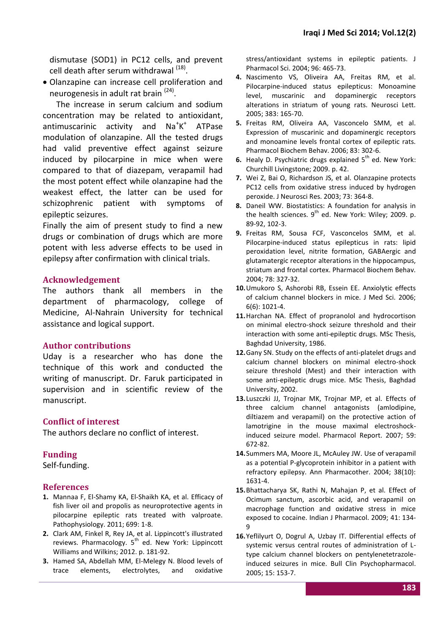dismutase (SOD1) in PC12 cells, and prevent cell death after serum withdrawal <sup>(18)</sup>.

 Olanzapine can increase cell proliferation and neurogenesis in adult rat brain <sup>(24)</sup>.

The increase in serum calcium and sodium concentration may be related to antioxidant, antimuscarinic activity and  $\text{Na}^{\dagger}\text{K}^{\dagger}$ ATPase modulation of olanzapine. All the tested drugs had valid preventive effect against seizure induced by pilocarpine in mice when were compared to that of diazepam, verapamil had the most potent effect while olanzapine had the weakest effect, the latter can be used for schizophrenic patient with symptoms of epileptic seizures.

Finally the aim of present study to find a new drugs or combination of drugs which are more potent with less adverse effects to be used in epilepsy after confirmation with clinical trials.

### **Acknowledgement**

The authors thank all members in the department of pharmacology, college of Medicine, Al-Nahrain University for technical assistance and logical support.

#### **Author contributions**

Uday is a researcher who has done the technique of this work and conducted the writing of manuscript. Dr. Faruk participated in supervision and in scientific review of the manuscript.

#### **Conflict of interest**

The authors declare no conflict of interest.

#### **Funding**

Self-funding.

#### **References**

- **1.** Mannaa F, El-Shamy KA, El-Shaikh KA, et al. Efficacy of fish liver oil and propolis as neuroprotective agents in pilocarpine epileptic rats treated with valproate. Pathophysiology. 2011; 699: 1-8.
- **2.** Clark AM, Finkel R, Rey JA, et al. Lippincott's illustrated reviews. Pharmacology. 5<sup>th</sup> ed. New York: Lippincott Williams and Wilkins; 2012. p. 181-92.
- **3.** Hamed SA, Abdellah MM, El-Melegy N. Blood levels of trace elements, electrolytes, and oxidative

stress/antioxidant systems in epileptic patients. J Pharmacol Sci. 2004; 96: 465-73.

- **4.** Nascimento VS, Oliveira AA, Freitas RM, et al. Pilocarpine-induced status epilepticus: Monoamine level, muscarinic and dopaminergic receptors alterations in striatum of young rats. Neurosci Lett. 2005; 383: 165-70.
- **5.** Freitas RM, Oliveira AA, Vasconcelo SMM, et al. Expression of muscarinic and dopaminergic receptors and monoamine levels frontal cortex of epileptic rats. Pharmacol Biochem Behav. 2006; 83: 302-6.
- **6.** Healy D. Psychiatric drugs explained 5<sup>th</sup> ed. New York: Churchill Livingstone; 2009. p. 42.
- **7.** Wei Z, Bai O, Richardson JS, et al. Olanzapine protects PC12 cells from oxidative stress induced by hydrogen peroxide. J Neurosci Res. 2003; 73: 364-8.
- **8.** Daneil WW. Biostatistics: A foundation for analysis in the health sciences.  $9^{th}$  ed. New York: Wiley; 2009. p. 89-92, 102-3.
- **9.** Freitas RM, Sousa FCF, Vasconcelos SMM, et al. Pilocarpine-induced status epilepticus in rats: lipid peroxidation level, nitrite formation, GABAergic and glutamatergic receptor alterations in the hippocampus, striatum and frontal cortex. Pharmacol Biochem Behav. 2004; 78: 327-32.
- **10.**Umukoro S, Ashorobi RB, Essein EE. Anxiolytic effects of calcium channel blockers in mice. J Med Sci. 2006; 6(6): 1021-4.
- **11.**Harchan NA. Effect of propranolol and hydrocortison on minimal electro-shock seizure threshold and their interaction with some anti-epileptic drugs. MSc Thesis, Baghdad University, 1986.
- **12.**Gany SN. Study on the effects of anti-platelet drugs and calcium channel blockers on minimal electro-shock seizure threshold (Mest) and their interaction with some anti-epileptic drugs mice. MSc Thesis, Baghdad University, 2002.
- **13.**Luszczki JJ, Trojnar MK, Trojnar MP, et al. Effects of three calcium channel antagonists (amlodipine, diltiazem and verapamil) on the protective action of lamotrigine in the mouse maximal electroshockinduced seizure model. Pharmacol Report. 2007; 59: 672-82.
- **14.**Summers MA, Moore JL, McAuley JW. Use of verapamil as a potential P-glycoprotein inhibitor in a patient with refractory epilepsy. Ann Pharmacother. 2004; 38(10): 1631-4.
- **15.**Bhattacharya SK, Rathi N, Mahajan P, et al. Effect of Ocimum sanctum, ascorbic acid, and verapamil on macrophage function and oxidative stress in mice exposed to cocaine. Indian J Pharmacol. 2009; 41: 134- 9
- **16.**Yeflilyurt O, Dogrul A, Uzbay IT. Differential effects of systemic versus central routes of administration of Ltype calcium channel blockers on pentylenetetrazoleinduced seizures in mice. Bull Clin Psychopharmacol. 2005; 15: 153-7.